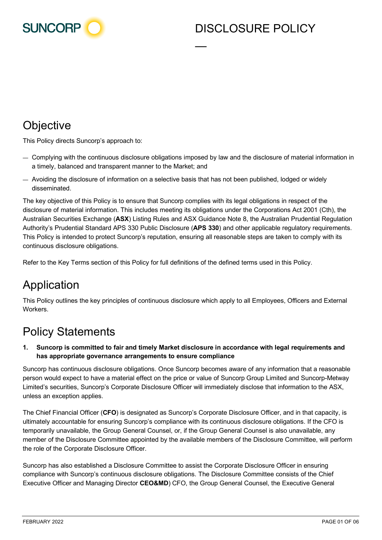

## DISCLOSURE POLICY

# **Objective**

This Policy directs Suncorp's approach to:

— Complying with the continuous disclosure obligations imposed by law and the disclosure of material information in a timely, balanced and transparent manner to the Market; and

—

— Avoiding the disclosure of information on a selective basis that has not been published, lodged or widely disseminated.

The key objective of this Policy is to ensure that Suncorp complies with its legal obligations in respect of the disclosure of material information. This includes meeting its obligations under the Corporations Act 2001 (Cth), the Australian Securities Exchange (**ASX**) Listing Rules and ASX Guidance Note 8, the Australian Prudential Regulation Authority's Prudential Standard APS 330 Public Disclosure (**APS 330**) and other applicable regulatory requirements. This Policy is intended to protect Suncorp's reputation, ensuring all reasonable steps are taken to comply with its continuous disclosure obligations.

Refer to the Key Terms section of this Policy for full definitions of the defined terms used in this Policy.

# Application

This Policy outlines the key principles of continuous disclosure which apply to all Employees, Officers and External Workers.

# Policy Statements

#### **1. Suncorp is committed to fair and timely Market disclosure in accordance with legal requirements and has appropriate governance arrangements to ensure compliance**

Suncorp has continuous disclosure obligations. Once Suncorp becomes aware of any information that a reasonable person would expect to have a material effect on the price or value of Suncorp Group Limited and Suncorp-Metway Limited's securities, Suncorp's Corporate Disclosure Officer will immediately disclose that information to the ASX, unless an exception applies.

The Chief Financial Officer (**CFO**) is designated as Suncorp's Corporate Disclosure Officer, and in that capacity, is ultimately accountable for ensuring Suncorp's compliance with its continuous disclosure obligations. If the CFO is temporarily unavailable, the Group General Counsel, or, if the Group General Counsel is also unavailable, any member of the Disclosure Committee appointed by the available members of the Disclosure Committee, will perform the role of the Corporate Disclosure Officer.

Suncorp has also established a Disclosure Committee to assist the Corporate Disclosure Officer in ensuring compliance with Suncorp's continuous disclosure obligations. The Disclosure Committee consists of the Chief Executive Officer and Managing Director **CEO&MD**) CFO, the Group General Counsel, the Executive General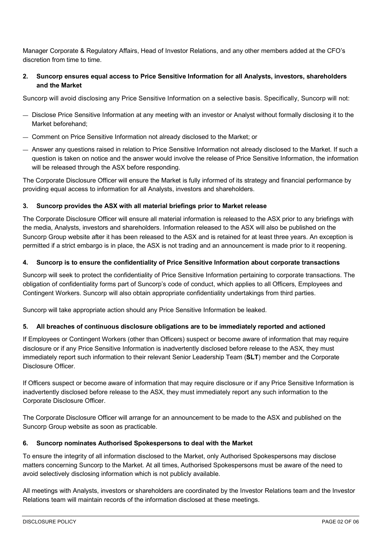Manager Corporate & Regulatory Affairs, Head of Investor Relations, and any other members added at the CFO's discretion from time to time.

#### **2. Suncorp ensures equal access to Price Sensitive Information for all Analysts, investors, shareholders and the Market**

Suncorp will avoid disclosing any Price Sensitive Information on a selective basis. Specifically, Suncorp will not:

- Disclose Price Sensitive Information at any meeting with an investor or Analyst without formally disclosing it to the Market beforehand;
- Comment on Price Sensitive Information not already disclosed to the Market; or
- Answer any questions raised in relation to Price Sensitive Information not already disclosed to the Market. If such a question is taken on notice and the answer would involve the release of Price Sensitive Information, the information will be released through the ASX before responding.

The Corporate Disclosure Officer will ensure the Market is fully informed of its strategy and financial performance by providing equal access to information for all Analysts, investors and shareholders.

#### **3. Suncorp provides the ASX with all material briefings prior to Market release**

The Corporate Disclosure Officer will ensure all material information is released to the ASX prior to any briefings with the media, Analysts, investors and shareholders. Information released to the ASX will also be published on the Suncorp Group website after it has been released to the ASX and is retained for at least three years. An exception is permitted if a strict embargo is in place, the ASX is not trading and an announcement is made prior to it reopening.

#### **4. Suncorp is to ensure the confidentiality of Price Sensitive Information about corporate transactions**

Suncorp will seek to protect the confidentiality of Price Sensitive Information pertaining to corporate transactions. The obligation of confidentiality forms part of Suncorp's code of conduct, which applies to all Officers, Employees and Contingent Workers. Suncorp will also obtain appropriate confidentiality undertakings from third parties.

Suncorp will take appropriate action should any Price Sensitive Information be leaked.

#### **5. All breaches of continuous disclosure obligations are to be immediately reported and actioned**

If Employees or Contingent Workers (other than Officers) suspect or become aware of information that may require disclosure or if any Price Sensitive Information is inadvertently disclosed before release to the ASX, they must immediately report such information to their relevant Senior Leadership Team (**SLT**) member and the Corporate Disclosure Officer.

If Officers suspect or become aware of information that may require disclosure or if any Price Sensitive Information is inadvertently disclosed before release to the ASX, they must immediately report any such information to the Corporate Disclosure Officer.

The Corporate Disclosure Officer will arrange for an announcement to be made to the ASX and published on the Suncorp Group website as soon as practicable.

#### **6. Suncorp nominates Authorised Spokespersons to deal with the Market**

To ensure the integrity of all information disclosed to the Market, only Authorised Spokespersons may disclose matters concerning Suncorp to the Market. At all times, Authorised Spokespersons must be aware of the need to avoid selectively disclosing information which is not publicly available.

All meetings with Analysts, investors or shareholders are coordinated by the Investor Relations team and the Investor Relations team will maintain records of the information disclosed at these meetings.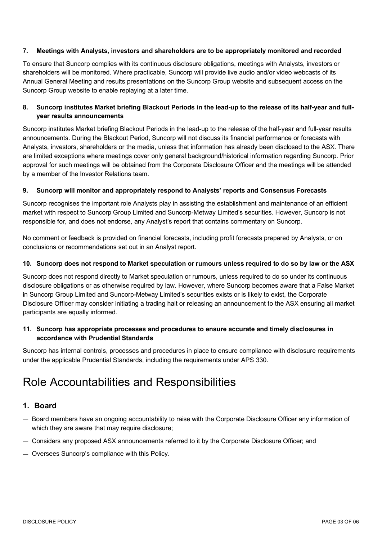#### **7. Meetings with Analysts, investors and shareholders are to be appropriately monitored and recorded**

To ensure that Suncorp complies with its continuous disclosure obligations, meetings with Analysts, investors or shareholders will be monitored. Where practicable, Suncorp will provide live audio and/or video webcasts of its Annual General Meeting and results presentations on the Suncorp Group website and subsequent access on the Suncorp Group website to enable replaying at a later time.

#### **8. Suncorp institutes Market briefing Blackout Periods in the lead-up to the release of its half-year and fullyear results announcements**

Suncorp institutes Market briefing Blackout Periods in the lead-up to the release of the half-year and full-year results announcements. During the Blackout Period, Suncorp will not discuss its financial performance or forecasts with Analysts, investors, shareholders or the media, unless that information has already been disclosed to the ASX. There are limited exceptions where meetings cover only general background/historical information regarding Suncorp. Prior approval for such meetings will be obtained from the Corporate Disclosure Officer and the meetings will be attended by a member of the Investor Relations team.

#### **9. Suncorp will monitor and appropriately respond to Analysts' reports and Consensus Forecasts**

Suncorp recognises the important role Analysts play in assisting the establishment and maintenance of an efficient market with respect to Suncorp Group Limited and Suncorp-Metway Limited's securities. However, Suncorp is not responsible for, and does not endorse, any Analyst's report that contains commentary on Suncorp.

No comment or feedback is provided on financial forecasts, including profit forecasts prepared by Analysts, or on conclusions or recommendations set out in an Analyst report.

#### **10. Suncorp does not respond to Market speculation or rumours unless required to do so by law or the ASX**

Suncorp does not respond directly to Market speculation or rumours, unless required to do so under its continuous disclosure obligations or as otherwise required by law. However, where Suncorp becomes aware that a False Market in Suncorp Group Limited and Suncorp-Metway Limited's securities exists or is likely to exist, the Corporate Disclosure Officer may consider initiating a trading halt or releasing an announcement to the ASX ensuring all market participants are equally informed.

#### **11. Suncorp has appropriate processes and procedures to ensure accurate and timely disclosures in accordance with Prudential Standards**

Suncorp has internal controls, processes and procedures in place to ensure compliance with disclosure requirements under the applicable Prudential Standards, including the requirements under APS 330.

## Role Accountabilities and Responsibilities

#### **1. Board**

- Board members have an ongoing accountability to raise with the Corporate Disclosure Officer any information of which they are aware that may require disclosure;
- Considers any proposed ASX announcements referred to it by the Corporate Disclosure Officer; and
- Oversees Suncorp's compliance with this Policy.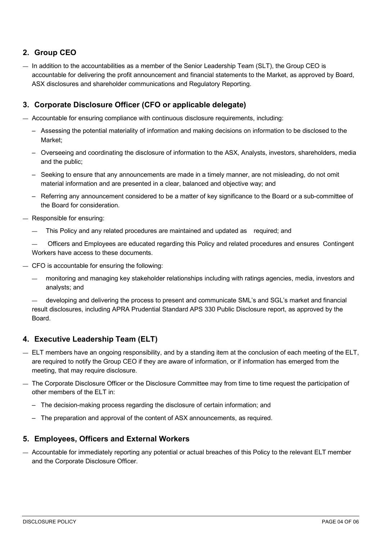## **2. Group CEO**

— In addition to the accountabilities as a member of the Senior Leadership Team (SLT), the Group CEO is accountable for delivering the profit announcement and financial statements to the Market, as approved by Board, ASX disclosures and shareholder communications and Regulatory Reporting.

### **3. Corporate Disclosure Officer (CFO or applicable delegate)**

— Accountable for ensuring compliance with continuous disclosure requirements, including:

- Assessing the potential materiality of information and making decisions on information to be disclosed to the Market;
- Overseeing and coordinating the disclosure of information to the ASX, Analysts, investors, shareholders, media and the public;
- Seeking to ensure that any announcements are made in a timely manner, are not misleading, do not omit material information and are presented in a clear, balanced and objective way; and
- Referring any announcement considered to be a matter of key significance to the Board or a sub-committee of the Board for consideration.
- Responsible for ensuring:
	- This Policy and any related procedures are maintained and updated as required; and

— Officers and Employees are educated regarding this Policy and related procedures and ensures Contingent Workers have access to these documents.

- CFO is accountable for ensuring the following:
	- monitoring and managing key stakeholder relationships including with ratings agencies, media, investors and analysts; and

— developing and delivering the process to present and communicate SML's and SGL's market and financial result disclosures, including APRA Prudential Standard APS 330 Public Disclosure report, as approved by the Board.

### **4. Executive Leadership Team (ELT)**

- ELT members have an ongoing responsibility, and by a standing item at the conclusion of each meeting of the ELT, are required to notify the Group CEO if they are aware of information, or if information has emerged from the meeting, that may require disclosure.
- The Corporate Disclosure Officer or the Disclosure Committee may from time to time request the participation of other members of the ELT in:
	- The decision-making process regarding the disclosure of certain information; and
	- The preparation and approval of the content of ASX announcements, as required.

### **5. Employees, Officers and External Workers**

— Accountable for immediately reporting any potential or actual breaches of this Policy to the relevant ELT member and the Corporate Disclosure Officer.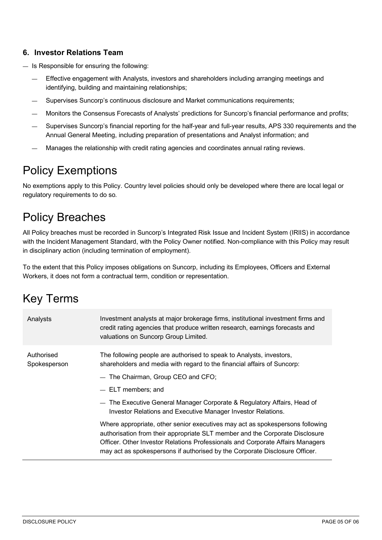## **6. Investor Relations Team**

- Is Responsible for ensuring the following:
	- Effective engagement with Analysts, investors and shareholders including arranging meetings and identifying, building and maintaining relationships;
	- Supervises Suncorp's continuous disclosure and Market communications requirements;
	- Monitors the Consensus Forecasts of Analysts' predictions for Suncorp's financial performance and profits;
	- Supervises Suncorp's financial reporting for the half-year and full-year results, APS 330 requirements and the Annual General Meeting, including preparation of presentations and Analyst information; and
	- Manages the relationship with credit rating agencies and coordinates annual rating reviews.

## Policy Exemptions

No exemptions apply to this Policy. Country level policies should only be developed where there are local legal or regulatory requirements to do so.

# Policy Breaches

All Policy breaches must be recorded in Suncorp's Integrated Risk Issue and Incident System (IRIIS) in accordance with the Incident Management Standard, with the Policy Owner notified. Non-compliance with this Policy may result in disciplinary action (including termination of employment).

To the extent that this Policy imposes obligations on Suncorp, including its Employees, Officers and External Workers, it does not form a contractual term, condition or representation.

# Key Terms

| Analysts                   | Investment analysts at major brokerage firms, institutional investment firms and<br>credit rating agencies that produce written research, earnings forecasts and<br>valuations on Suncorp Group Limited.                                                                                                                       |
|----------------------------|--------------------------------------------------------------------------------------------------------------------------------------------------------------------------------------------------------------------------------------------------------------------------------------------------------------------------------|
| Authorised<br>Spokesperson | The following people are authorised to speak to Analysts, investors,<br>shareholders and media with regard to the financial affairs of Suncorp:<br>- The Chairman, Group CEO and CFO;<br>- ELT members; and                                                                                                                    |
|                            | - The Executive General Manager Corporate & Regulatory Affairs, Head of<br>Investor Relations and Executive Manager Investor Relations.                                                                                                                                                                                        |
|                            | Where appropriate, other senior executives may act as spokespersons following<br>authorisation from their appropriate SLT member and the Corporate Disclosure<br>Officer. Other Investor Relations Professionals and Corporate Affairs Managers<br>may act as spokespersons if authorised by the Corporate Disclosure Officer. |